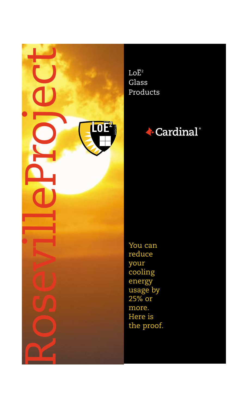

 $Lo\overline{E}^2$ Glass Products



You can reduce your cooling energy usage by 25% or more. Here is the proof.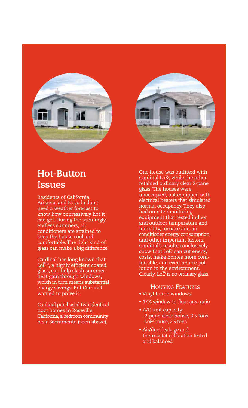



Residents of California, Arizona, and Nevada don't need a weather forecast to know how oppressively hot it can get. During the seemingly endless summers, air conditioners are strained to keep the house cool and comfortable. The right kind of glass can make a big difference.

Cardinal has long known that Cardinal nas long known that<br>LoĒ™, a highly efficient coated glass, can help slash summer heat gain through windows, which in turn means substantial energy savings. But Cardinal wanted to prove it.

Cardinal purchased two identical tract homes in Roseville, California, a bedroom community near Sacramento (seen above).

One house was outfitted with One nouse was outfitted with<br>Cardinal LoDz, while the other retained ordinary clear 2-pane glass. The houses were unoccupied, but equipped with electrical heaters that simulated normal occupancy. They also had on-site monitoring equipment that tested indoor and outdoor temperature and humidity, furnace and air conditioner energy consumption, and other important factors. Cardinal's results conclusively Cardinal's results conclusively<br>show that LoĒ<sup>,</sup> can cut energy costs, make homes more comfortable, and even reduce pollution in the environment. iution in the environment.<br>Clearly, LoĒ<sup>2</sup> is no ordinary glass.

#### HOUSING FEATURES

- Vinyl frame windows
- 17% window-to-floor area ratio
- A/C unit capacity: -2-pane clear house, 3.5 tons -2-pane clear nouse<br>-LoĒ<sup>2</sup> house, 2.5 tons
- Air/duct leakage and thermostat calibration tested and balanced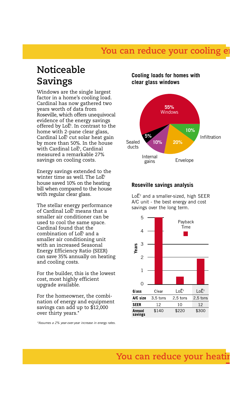### You can reduce your cooling

### **Noticeable Savings**

Windows are the single largest factor in a home's cooling load. Cardinal has now gathered two years worth of data from Roseville, which offers unequivocal evidence of the energy savings evidence or the energy savings<br>offered by LoĒ<sup>,</sup> In contrast to the home with 2-pane clear glass, nome with 2-pane clear glass,<br>Cardinal LoĒ<sup>2</sup> cut solar heat gain by more than 50%. In the house by more than 50%. In the no<br>with Cardinal LoĒ<sup>,</sup> Cardinal measured a remarkable 27% savings on cooling costs.

Energy savings extended to the anergy savings extended to t<br>winter time as well. The LoĒ<sup>2</sup> house saved 10% on the heating bill when compared to the house with regular clear glass.

The stellar energy performance The stellar energy performan<br>of Cardinal LoĒ<sup>2</sup> means that a smaller air conditioner can be used to cool the same space. Cardinal found that the uarainal round that the<br>combination of LoĒ<sup>2</sup> and a smaller air conditioning unit with an increased Seasonal Energy Efficiency Ratio (SEER) can save 35% annually on heating and cooling costs.

For the builder, this is the lowest cost, most highly efficient upgrade available.

For the homeowner, the combination of energy and equipment savings can add up to \$12,000 over thirty years.\*

*\*Assumes a 2% year-over-year increase in energy rates.*

### **Cooling loads for homes with clear glass windows**



#### **Roseville savings analysis**

 $Lo\overline{E}^2$  and a smaller-sized, high SEER A/C unit - the best energy and cost savings over the long term.

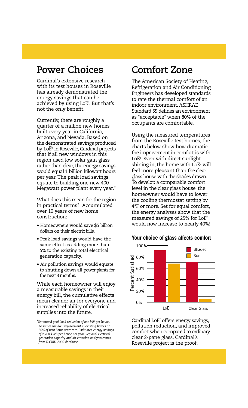### **Power Choices**

Cardinal's extensive research with its test houses in Roseville has already demonstrated the energy savings that can be energy savings that can be<br>achieved by using LoE<sup>2</sup>. But that's not the only benefit.

Currently, there are roughly a quarter of a million new homes built every year in California, Arizona, and Nevada. Based on the demonstrated savings produced tne aemonstratea savings proaucea<br>by LoE² in Roseville, Cardinal projects that if all new windows in this region used low solar gain glass rather than clear, the energy savings would equal 1 billion kilowatt hours per year. The peak load savings equate to building one new 400 Megawatt power plant every year.\*

What does this mean for the region in practical terms? Accumulated over 10 years of new home construction:

- Homeowners would save \$5 billion dollars on their electric bills.
- Peak load savings would have the same effect as adding more than 5% to the existing total electrical generation capacity.
- Air pollution savings would equate to shutting down all power plants for the next 3 months.

While each homeowner will enjoy a measurable savings in their energy bill, the cumulative effects mean cleaner air for everyone and increased reliability of electrical supplies into the future.

## **Comfort Zone**

The American Society of Heating, Refrigeration and Air Conditioning Engineers has developed standards to rate the thermal comfort of an indoor environment. ASHRAE Standard 55 defines an environment as "acceptable" when 80% of the occupants are comfortable.

Using the measured temperatures from the Roseville test homes, the charts below show how dramatic the improvement in comfort is with ule improvement in comfort is v<br>LoE2. Even with direct sunlight LoE-. Even with direct sunlight<br>shining in, the home with LoĒ<sup>2</sup> will feel more pleasant than the clear glass house with the shades drawn. To develop a comparable comfort level in the clear glass house, the homeowner would have to lower the cooling thermostat setting by 4°F or more. Set for equal comfort, the energy analyses show that the the energy analyses show that the<br>measured savings of 25% for LoĒ<sup>2</sup> would now increase to nearly 40%!

#### **Your choice of glass affects comfort**



 $\overline{\text{Cardinal LoE}^2}$  offers energy savings, pollution reduction, and improved comfort when compared to ordinary clear 2-pane glass. Cardinal's Roseville project is the proof.

<sup>\*</sup>*Estimated peak load reduction of one kW per house. Assumes window replacement in existing homes at 80% of new home start rate. Estimated energy savings of 2,200 kWh per house per year. Regional electrical generation capacity and air emission analysis comes from E-GRID 2000 database.*